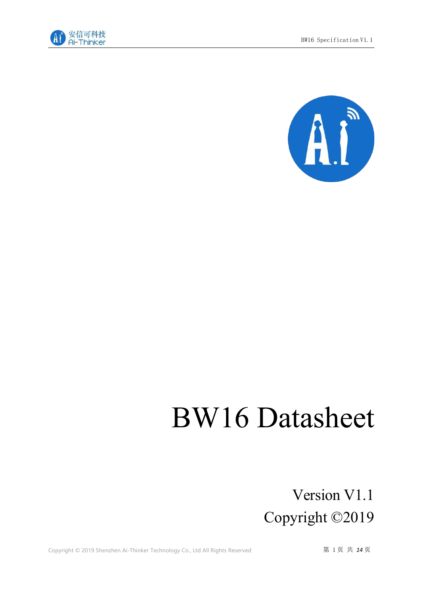



# BW16 Datasheet

## Version V1.1 Copyright ©2019

Copyright © 2019 Shenzhen Ai-Thinker Technology Co., Ltd All Rights Reserved **第 1页 共 14页**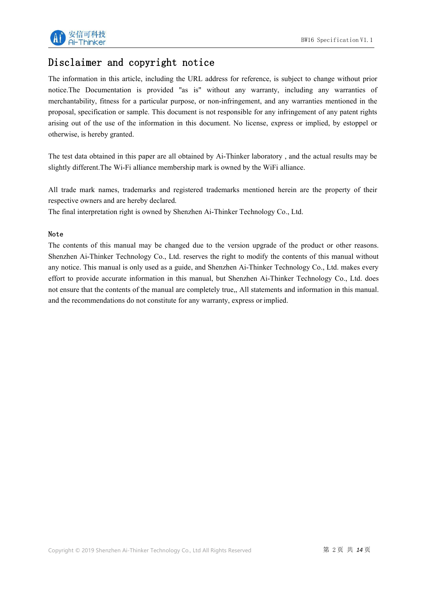

### Disclaimer and copyright notice

The information in this article, including the URL address for reference, is subject to change without prior notice.The Documentation is provided "as is" without any warranty, including any warranties of merchantability, fitness for a particular purpose, or non-infringement, and any warranties mentioned in the proposal, specification or sample. This document is not responsible for any infringement of any patent rights arising out of the use of the information in this document. No license, express or implied, by estoppel or otherwise, is hereby granted.

The test data obtained in this paper are all obtained by Ai-Thinker laboratory, and the actual results may be slightly different.The Wi-Fi alliance membership mark is owned by the WiFi alliance.

All trade mark names, trademarks and registered trademarks mentioned herein are the property of their respective owners and are hereby declared.

The final interpretation right is owned by Shenzhen Ai-Thinker Technology Co., Ltd.

#### Note

The contents of this manual may be changed due to the version upgrade of the product or other reasons. Shenzhen Ai-Thinker Technology Co., Ltd. reserves the right to modify the contents of this manual without any notice. This manual is only used as a guide, and Shenzhen Ai-Thinker Technology Co., Ltd. makes every effort to provide accurate information in this manual, but Shenzhen Ai-Thinker Technology Co., Ltd. does not ensure that the contents of the manual are completely true,, All statements and information in this manual. and the recommendations do not constitute for any warranty, express or implied.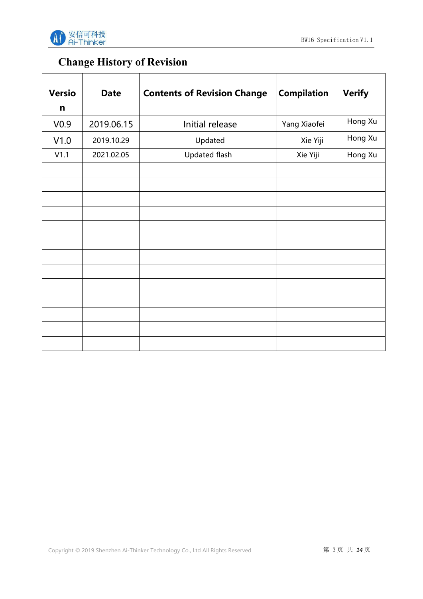



## **Change History of Revision**

| <b>Versio</b>    | <b>Date</b> | <b>Contents of Revision Change</b> | <b>Compilation</b> | <b>Verify</b> |
|------------------|-------------|------------------------------------|--------------------|---------------|
| $\mathsf{n}$     |             |                                    |                    |               |
| V <sub>0.9</sub> | 2019.06.15  | Initial release                    | Yang Xiaofei       | Hong Xu       |
| V1.0             | 2019.10.29  | Updated                            | Xie Yiji           | Hong Xu       |
| V1.1             | 2021.02.05  | <b>Updated flash</b>               | Xie Yiji           | Hong Xu       |
|                  |             |                                    |                    |               |
|                  |             |                                    |                    |               |
|                  |             |                                    |                    |               |
|                  |             |                                    |                    |               |
|                  |             |                                    |                    |               |
|                  |             |                                    |                    |               |
|                  |             |                                    |                    |               |
|                  |             |                                    |                    |               |
|                  |             |                                    |                    |               |
|                  |             |                                    |                    |               |
|                  |             |                                    |                    |               |
|                  |             |                                    |                    |               |
|                  |             |                                    |                    |               |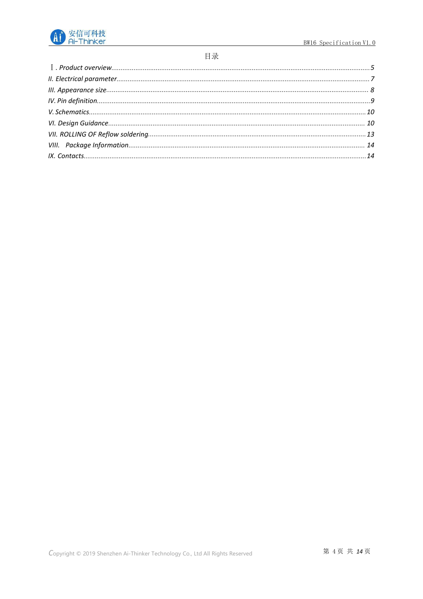

#### 目录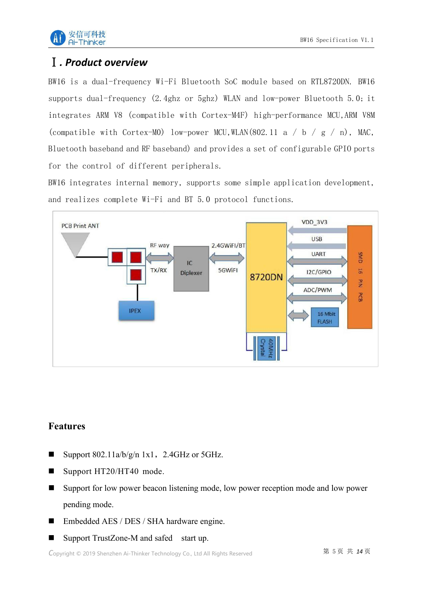

## <span id="page-4-0"></span>Ⅰ*. Product overview*

BW16 is a dual-frequency Wi-Fi Bluetooth SoC module based on RTL8720DN. BW16 supports dual-frequency (2.4ghz or 5ghz) WLAN and low-power Bluetooth 5.0; it integrates ARM V8 (compatible with Cortex-M4F) high-performance MCU,ARM V8M (compatible with Cortex-MO) low-power MCU, WLAN(802.11 a / b / g / n), MAC, Bluetooth baseband and RF baseband) and provides a set of configurable GPIO ports for the control of different peripherals.

BW16 integrates internal memory, supports some simple application development, and realizes complete Wi-Fi and BT 5.0 protocol functions.



#### **Features**

- Support  $802.11a/b/g/n$  1x1, 2.4GHz or 5GHz.
- Support HT20/HT40 mode.
- Support for low power beacon listening mode, low power reception mode and low power pending mode.
- Embedded AES / DES / SHA hardware engine.
- Support TrustZone-M and safed start up.

Copyright © 2019 Shenzhen Ai-Thinker Technology Co., Ltd All Rights Reserved **第 5 页 共** *14* **页**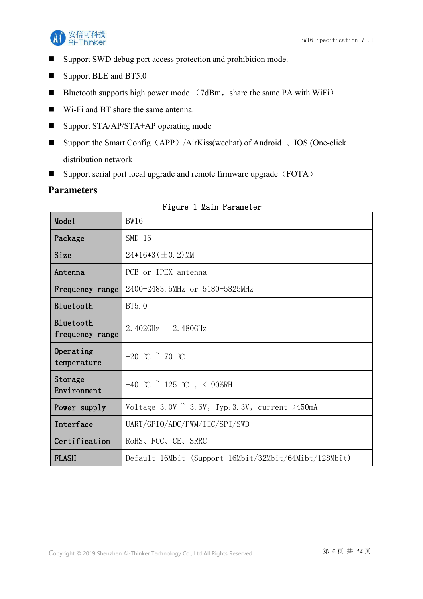

- Support SWD debug port access protection and prohibition mode.
- Support BLE and BT5.0
- Bluetooth supports high power mode  $(7dBm, share the same PA with WiFi)$
- Wi-Fi and BT share the same antenna.
- Support STA/AP/STA+AP operating mode
- Support the Smart Config (APP) /AirKiss(wechat) of Android 、IOS (One-click distribution network
- Support serial port local upgrade and remote firmware upgrade (FOTA)

#### **Parameters**

| Mode1                        | <b>BW16</b>                                            |
|------------------------------|--------------------------------------------------------|
| Package                      | $SMD-16$                                               |
| Size                         | $24*16*3 (\pm 0.2)$ MM                                 |
| Antenna                      | PCB or IPEX antenna                                    |
| Frequency range              | 2400-2483.5MHz or 5180-5825MHz                         |
| Bluetooth                    | BT5.0                                                  |
| Bluetooth<br>frequency range | 2.402GHz $-$ 2.480GHz                                  |
| Operating<br>temperature     | $-20$ °C $\degree$ 70 °C                               |
| Storage<br>Environment       | $-40$ °C $\degree$ 125 °C , < 90%RH                    |
| Power supply                 | Voltage 3.0V $\degree$ 3.6V, Typ: 3.3V, current >450mA |
| Interface                    | UART/GPIO/ADC/PWM/IIC/SPI/SWD                          |
| Certification                | RoHS, FCC, CE, SRRC                                    |
| <b>FLASH</b>                 | Default 16Mbit (Support 16Mbit/32Mbit/64Mibt/128Mbit)  |

#### Figure 1 Main Parameter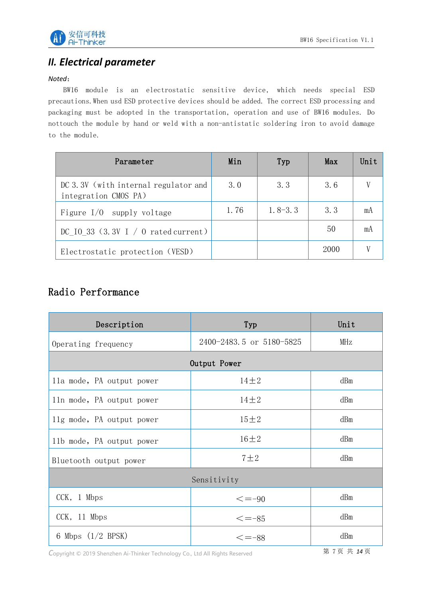

## <span id="page-6-0"></span>*II. Electrical parameter*

#### *Noted*:

BW16 module is an electrostatic sensitive device, which needs special ESD precautions.When usd ESD protective devices should be added. The correct ESD processing and packaging must be adopted in the transportation, operation and use of BW16 modules. Do nottouch the module by hand or weld with a non-antistatic soldering iron to avoid damage to the module.

| Parameter                                                    | Min  | Typ         | Max  | Unit |
|--------------------------------------------------------------|------|-------------|------|------|
| DC 3.3V (with internal regulator and<br>integration CMOS PA) | 3.0  | 3.3         | 3.6  | V    |
| Figure $I/0$ supply voltage                                  | 1.76 | $1, 8-3, 3$ | 3.3  | mA   |
| DC $10_33$ (3.3V I / 0 rated current)                        |      |             | 50   | mA   |
| Electrostatic protection (VESD)                              |      |             | 2000 | V    |

## Radio Performance

| Description               | Typ                      | Unit |  |  |  |
|---------------------------|--------------------------|------|--|--|--|
| Operating frequency       | 2400-2483.5 or 5180-5825 | MHz  |  |  |  |
| Output Power              |                          |      |  |  |  |
| 11a mode, PA output power | $14\pm2$                 | dBm  |  |  |  |
| 11n mode, PA output power | $14\pm2$                 | dBm  |  |  |  |
| 11g mode, PA output power | $15 \pm 2$               | dBm  |  |  |  |
| 11b mode, PA output power | $16 \pm 2$               | dBm  |  |  |  |
| Bluetooth output power    | $7 \pm 2$                | dBm  |  |  |  |
| Sensitivity               |                          |      |  |  |  |
| CCK, 1 Mbps               | $\leq$ =-90              | dBm  |  |  |  |
| CCK, 11 Mbps              | $\leq -85$               | dBm  |  |  |  |
| 6 Mbps $(1/2$ BPSK)       | $\leq -88$               | dBm  |  |  |  |

Copyright © 2019 Shenzhen Ai-Thinker Technology Co., Ltd All Rights Reserved **第 7页 共 14页**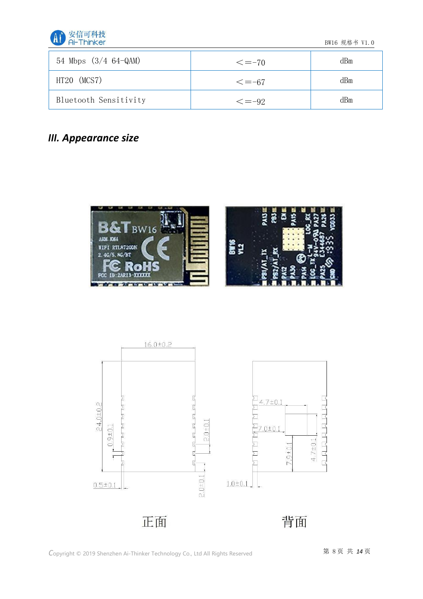

BW16 规格书 V1.0

| 54 Mbps $(3/4 64-QAM)$ | $\leq -70$   | dBm |
|------------------------|--------------|-----|
| HT20 (MCS7)            | $\leq -67$   | dBm |
| Bluetooth Sensitivity  | $\leq$ = -92 | dBm |

## <span id="page-7-0"></span>*III. Appearance size*



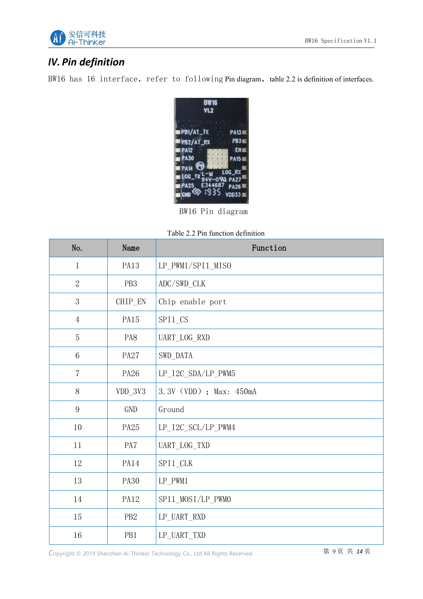

## <span id="page-8-0"></span>*IV. Pin definition*

BW16 has 16 interface, refer to following Pin diagram, table 2.2 is definition of interfaces.



BW16 Pin diagram

|--|

| No.             | Name            | Function                |
|-----------------|-----------------|-------------------------|
| $\mathbf{1}$    | <b>PA13</b>     | LP_PWM1/SPI1_MISO       |
| $\overline{2}$  | PB <sub>3</sub> | ADC/SWD_CLK             |
| 3               | CHIP_EN         | Chip enable port        |
| $\overline{4}$  | PA15            | SPI1_CS                 |
| 5               | PA8             | UART_LOG_RXD            |
| $6\phantom{1}6$ | <b>PA27</b>     | SWD_DATA                |
| $\overline{7}$  | PA26            | LP_I2C_SDA/LP_PWM5      |
| 8               | $VDD_3V3$       | 3.3V (VDD) ; Max: 450mA |
| 9               | <b>GND</b>      | Ground                  |
| 10              | PA25            | LP_I2C_SCL/LP_PWM4      |
| 11              | PA7             | UART_LOG_TXD            |
| 12              | PA14            | SPI1_CLK                |
| 13              | <b>PA30</b>     | $LP_PWM1$               |
| 14              | <b>PA12</b>     | SPI1_MOSI/LP_PWMO       |
| 15              | PB <sub>2</sub> | LP_UART_RXD             |
| 16              | PB1             | LP_UART_TXD             |

Copyright © 2019 Shenzhen Ai-Thinker Technology Co., Ltd All Rights Reserved **第 9页 共 14页**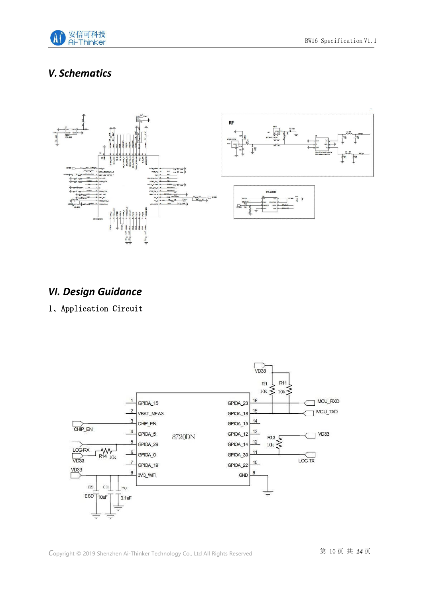

## <span id="page-9-0"></span>*V. Schematics*



### <span id="page-9-1"></span>*VI. Design Guidance*

#### 1、Application Circuit

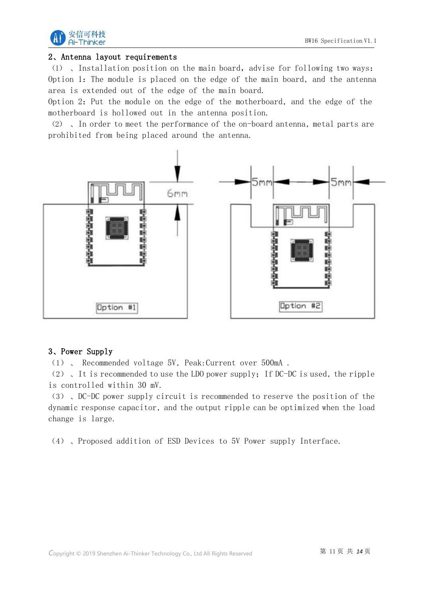

#### 2、Antenna layout requirements

(1) 、Installation position on the main board, advise for following two ways: Option 1: The module is placed on the edge of the main board, and the antenna area is extended out of the edge of the main board.

Option 2: Put the module on the edge of the motherboard, and the edge of the motherboard is hollowed out in the antenna position.

(2) 、In order to meet the performance of the on-board antenna, metal parts are prohibited from being placed around the antenna.



#### 3、Power Supply

(1) 、 Recommended voltage 5V, Peak:Current over 500mA .

(2) 、It is recommended to use the LDO power supply;If DC-DC is used, the ripple is controlled within 30 mV.

(3) 、DC-DC power supply circuit is recommended to reserve the position of the dynamic response capacitor, and the output ripple can be optimized when the load change is large.

(4) 、Proposed addition of ESD Devices to 5V Power supply Interface.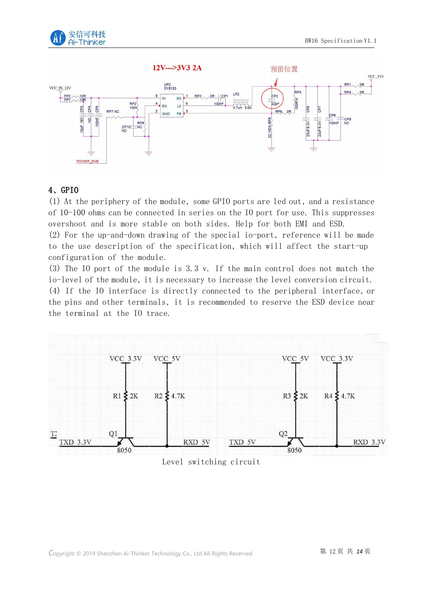



#### 4、GPIO

(1) At the periphery of the module, some GPIO ports are led out, and a resistance of 10-100 ohms can be connected in series on the IO port for use. This suppresses overshoot and is more stable on both sides. Help for both EMI and ESD.

(2) For the up-and-down drawing of the special io-port, reference will be made to the use description of the specification, which will affect the start-up configuration of the module.

(3) The IO port of the module is 3.3 v. If the main control does not match the io-level of the module, it is necessary to increase the level conversion circuit. (4) If the IO interface is directly connected to the peripheral interface, or the pins and other terminals, it is recommended to reserve the ESD device near the terminal at the IO trace.



Level switching circuit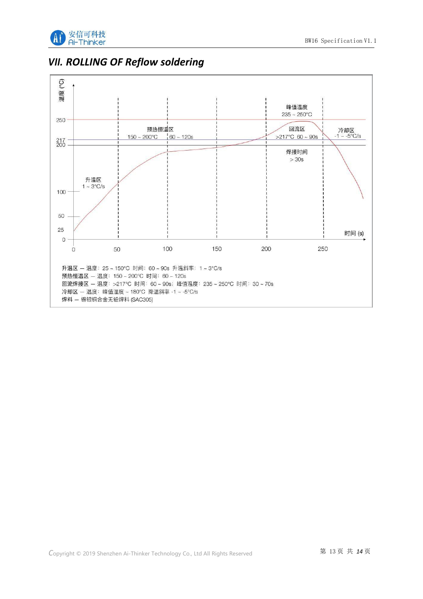

<span id="page-12-0"></span>